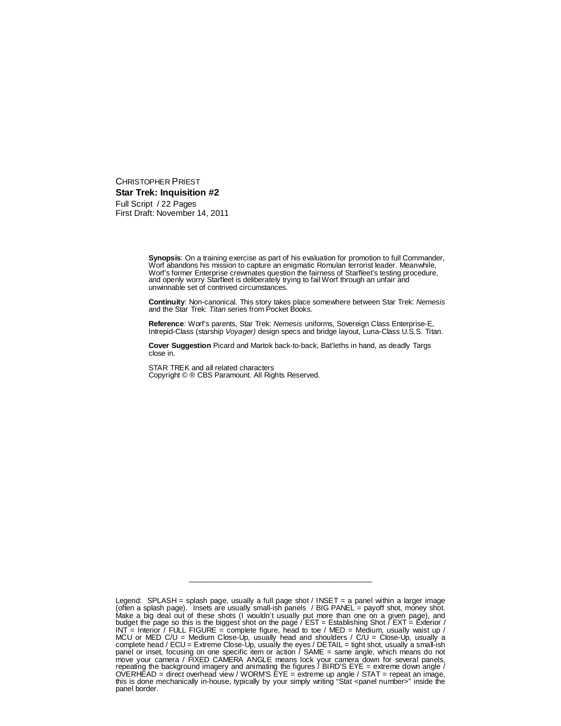CHRISTOPHER PRIEST **Star Trek: Inquisition #2** Full Script / 22 Pages First Draft: November 14, 2011

> **Synopsis**: On a training exercise as part of his evaluation for promotion to full Commander, Worf abandons his mission to capture an enigmatic Romulan terrorist leader. Meanwhile, Worf's former Enterprise crewmates question the fairness of Starfleet's testing procedure, and openly worry Starfleet is deliberately trying to fail Worf through an unfair and unwinnable set of contrived circumstances.

> **Continuity**: Non-canonical. This story takes place somewhere between Star Trek: *Nemesis* and the Star Trek: *Titan* series from Pocket Books.

**Reference**: Worf's parents, Star Trek: *Nemesis* uniforms, Sovereign Class Enterprise-E, Intrepid-Class (starship *Voyager)* design specs and bridge layout, Luna-Class U.S.S. Titan.

**Cover Suggestion** Picard and Martok back-to-back, Bat'leths in hand, as deadly Targs close in.

STAR TREK and all related characters Copyright © ® CBS Paramount. All Rights Reserved.

\_\_\_\_\_\_\_\_\_\_\_\_\_\_\_\_\_\_\_\_\_\_\_\_\_\_\_\_\_\_\_\_\_\_\_\_\_\_\_\_\_\_\_\_\_

Legend: SPLASH = splash page, usually a full page shot / INSET = a panel within a larger image (often a splash page). Insets are usually small-ish panels / BIG PANEL = payoff shot, money shot. Make a big deal out of these shots (I wouldn't usually put more than one on a given page), and budget the page so this is the biggest shot on the page / EST = Establishing Shot / EXT = Exterior / INT  $=$  Interior / FULL FIGURE = complete figure, head to toe / MED = Medium, usually waist up / MCU or MED C/U = Medium Close-Up, usually head and shoulders / C/U = Close-Up, usually a complete head / ECU = Extreme Close-Up, usually the eyes / DETAIL = tight shot, usually a small-ish panel or inset, focusing on one specific item or action / SAME = same angle, which means do not move your camera / FIXED CAMERA ANGLE means lock your camera down for several panels, repeating the background imagery and animating the figures / BIRD'S EYE = extreme down angle / OVERHEAD = direct overhead view / WORM'S EYE = extreme up angle / STAT = repeat an image, this is done mechanically in-house, typically by your simply writing "Stat <panel number>" inside the panel border.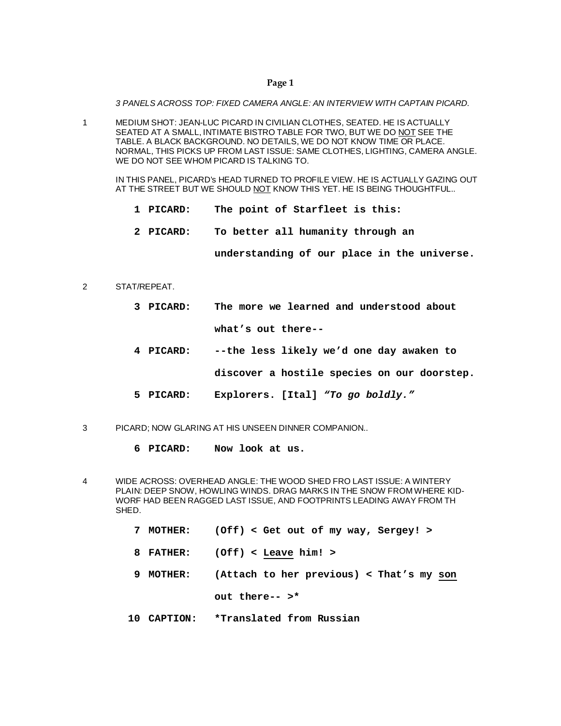*3 PANELS ACROSS TOP: FIXED CAMERA ANGLE: AN INTERVIEW WITH CAPTAIN PICARD.*

1 MEDIUM SHOT: JEAN-LUC PICARD IN CIVILIAN CLOTHES, SEATED. HE IS ACTUALLY SEATED AT A SMALL, INTIMATE BISTRO TABLE FOR TWO, BUT WE DO NOT SEE THE TABLE. A BLACK BACKGROUND. NO DETAILS, WE DO NOT KNOW TIME OR PLACE. NORMAL, THIS PICKS UP FROM LAST ISSUE: SAME CLOTHES, LIGHTING, CAMERA ANGLE. WE DO NOT SEE WHOM PICARD IS TALKING TO.

IN THIS PANEL, PICARD's HEAD TURNED TO PROFILE VIEW. HE IS ACTUALLY GAZING OUT AT THE STREET BUT WE SHOULD NOT KNOW THIS YET. HE IS BEING THOUGHTFUL..

- **1 PICARD: The point of Starfleet is this:**
- **2 PICARD: To better all humanity through an**

**understanding of our place in the universe.**

- 2 STAT/REPEAT.
	- **3 PICARD: The more we learned and understood about what's out there--**
	- **4 PICARD: --the less likely we'd one day awaken to**
		- **discover a hostile species on our doorstep.**
	- **5 PICARD: Explorers. [Ital]** *"To go boldly."*
- 3 PICARD; NOW GLARING AT HIS UNSEEN DINNER COMPANION..
	- **6 PICARD: Now look at us.**
- 4 WIDE ACROSS: OVERHEAD ANGLE: THE WOOD SHED FRO LAST ISSUE: A WINTERY PLAIN: DEEP SNOW, HOWLING WINDS. DRAG MARKS IN THE SNOW FROM WHERE KID-WORF HAD BEEN RAGGED LAST ISSUE, AND FOOTPRINTS LEADING AWAY FROM TH SHED.
	- **7 MOTHER: (Off) < Get out of my way, Sergey! >**
	- **8 FATHER: (Off) < Leave him! >**
	- **9 MOTHER: (Attach to her previous) < That's my son out there-- >\***
	- **10 CAPTION: \*Translated from Russian**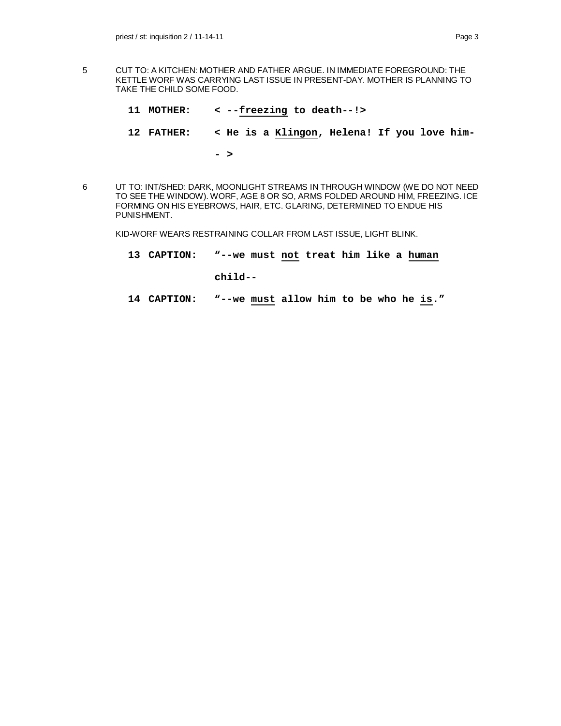- 5 CUT TO: A KITCHEN: MOTHER AND FATHER ARGUE. IN IMMEDIATE FOREGROUND: THE KETTLE WORF WAS CARRYING LAST ISSUE IN PRESENT-DAY. MOTHER IS PLANNING TO TAKE THE CHILD SOME FOOD.
	- **11 MOTHER: < --freezing to death--!> 12 FATHER: < He is a Klingon, Helena! If you love him- - >**
- 6 UT TO: INT/SHED: DARK, MOONLIGHT STREAMS IN THROUGH WINDOW (WE DO NOT NEED TO SEE THE WINDOW). WORF, AGE 8 OR SO, ARMS FOLDED AROUND HIM, FREEZING. ICE FORMING ON HIS EYEBROWS, HAIR, ETC. GLARING, DETERMINED TO ENDUE HIS PUNISHMENT.

KID-WORF WEARS RESTRAINING COLLAR FROM LAST ISSUE, LIGHT BLINK.

**13 CAPTION: "--we must not treat him like a human**

**child--**

**14 CAPTION: "--we must allow him to be who he is."**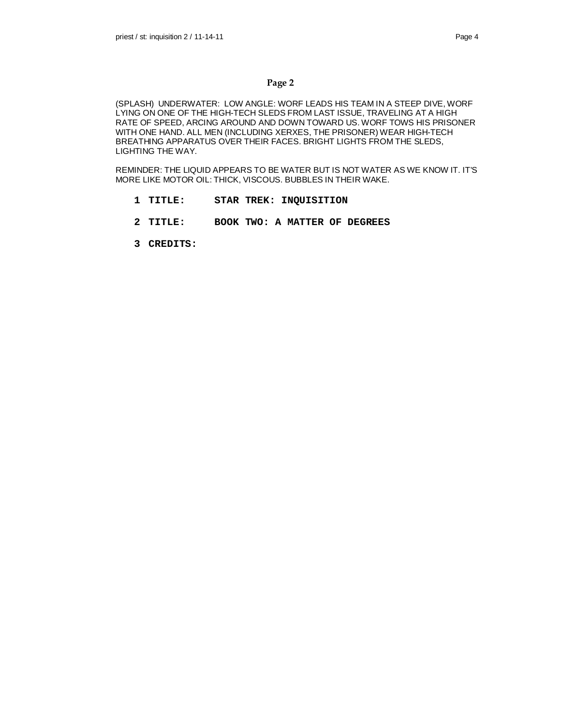(SPLASH) UNDERWATER: LOW ANGLE: WORF LEADS HIS TEAM IN A STEEP DIVE, WORF LYING ON ONE OF THE HIGH-TECH SLEDS FROM LAST ISSUE, TRAVELING AT A HIGH RATE OF SPEED, ARCING AROUND AND DOWN TOWARD US. WORF TOWS HIS PRISONER WITH ONE HAND. ALL MEN (INCLUDING XERXES, THE PRISONER) WEAR HIGH-TECH BREATHING APPARATUS OVER THEIR FACES. BRIGHT LIGHTS FROM THE SLEDS, LIGHTING THE WAY.

REMINDER: THE LIQUID APPEARS TO BE WATER BUT IS NOT WATER AS WE KNOW IT. IT'S MORE LIKE MOTOR OIL: THICK, VISCOUS. BUBBLES IN THEIR WAKE.

- **1 TITLE: STAR TREK: INQUISITION**
- **2 TITLE: BOOK TWO: A MATTER OF DEGREES**
- **3 CREDITS:**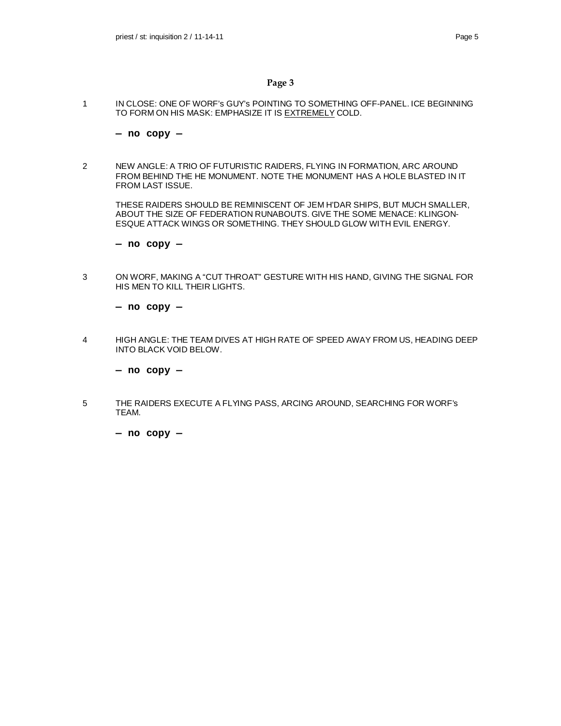1 IN CLOSE: ONE OF WORF's GUY's POINTING TO SOMETHING OFF-PANEL. ICE BEGINNING TO FORM ON HIS MASK: EMPHASIZE IT IS EXTREMELY COLD.

**— no copy —**

2 NEW ANGLE: A TRIO OF FUTURISTIC RAIDERS, FLYING IN FORMATION, ARC AROUND FROM BEHIND THE HE MONUMENT. NOTE THE MONUMENT HAS A HOLE BLASTED IN IT FROM LAST ISSUE.

THESE RAIDERS SHOULD BE REMINISCENT OF JEM H'DAR SHIPS, BUT MUCH SMALLER, ABOUT THE SIZE OF FEDERATION RUNABOUTS. GIVE THE SOME MENACE: KLINGON-ESQUE ATTACK WINGS OR SOMETHING. THEY SHOULD GLOW WITH EVIL ENERGY.

**— no copy —**

3 ON WORF, MAKING A "CUT THROAT" GESTURE WITH HIS HAND, GIVING THE SIGNAL FOR HIS MEN TO KILL THEIR LIGHTS.

**— no copy —**

4 HIGH ANGLE: THE TEAM DIVES AT HIGH RATE OF SPEED AWAY FROM US, HEADING DEEP INTO BLACK VOID BELOW.

**— no copy —**

5 THE RAIDERS EXECUTE A FLYING PASS, ARCING AROUND, SEARCHING FOR WORF's TEAM.

**— no copy —**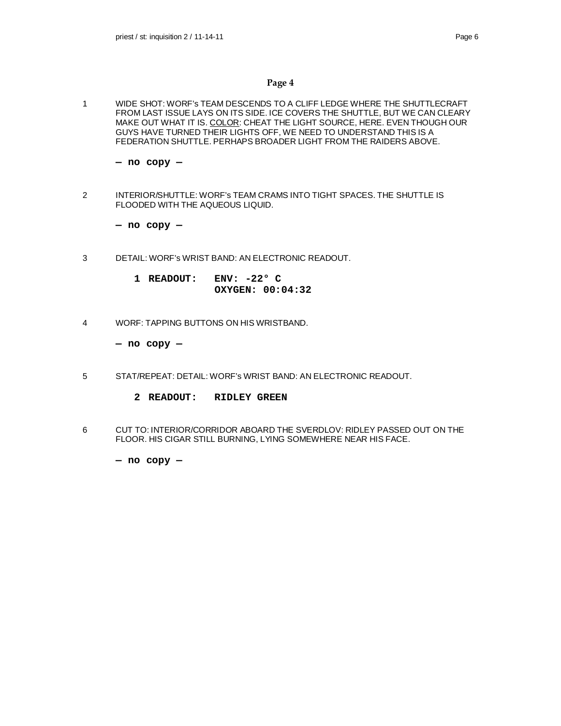1 WIDE SHOT: WORF's TEAM DESCENDS TO A CLIFF LEDGE WHERE THE SHUTTLECRAFT FROM LAST ISSUE LAYS ON ITS SIDE. ICE COVERS THE SHUTTLE, BUT WE CAN CLEARY MAKE OUT WHAT IT IS. COLOR: CHEAT THE LIGHT SOURCE, HERE. EVEN THOUGH OUR GUYS HAVE TURNED THEIR LIGHTS OFF, WE NEED TO UNDERSTAND THIS IS A FEDERATION SHUTTLE. PERHAPS BROADER LIGHT FROM THE RAIDERS ABOVE.

**— no copy —**

2 INTERIOR/SHUTTLE: WORF's TEAM CRAMS INTO TIGHT SPACES. THE SHUTTLE IS FLOODED WITH THE AQUEOUS LIQUID.

**— no copy —**

3 DETAIL: WORF's WRIST BAND: AN ELECTRONIC READOUT.

| 1 READOUT: | $ENV: -22^{\circ}$ C |
|------------|----------------------|
|            | OXYGEN: 00:04:32     |

4 WORF: TAPPING BUTTONS ON HIS WRISTBAND.

**— no copy —**

- 5 STAT/REPEAT: DETAIL: WORF's WRIST BAND: AN ELECTRONIC READOUT.
	- **2 READOUT: RIDLEY GREEN**
- 6 CUT TO: INTERIOR/CORRIDOR ABOARD THE SVERDLOV: RIDLEY PASSED OUT ON THE FLOOR. HIS CIGAR STILL BURNING, LYING SOMEWHERE NEAR HIS FACE.

**— no copy —**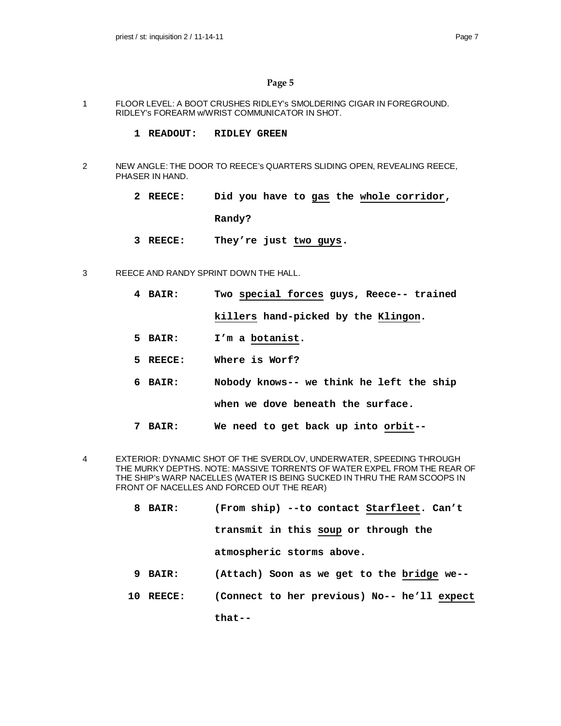- 1 FLOOR LEVEL: A BOOT CRUSHES RIDLEY's SMOLDERING CIGAR IN FOREGROUND. RIDLEY's FOREARM w/WRIST COMMUNICATOR IN SHOT.
	- **1 READOUT: RIDLEY GREEN**
- 2 NEW ANGLE: THE DOOR TO REECE's QUARTERS SLIDING OPEN, REVEALING REECE, PHASER IN HAND.
	- **2 REECE: Did you have to gas the whole corridor, Randy?**
	- **3 REECE: They're just two guys.**
- 3 REECE AND RANDY SPRINT DOWN THE HALL.
	- **4 BAIR: Two special forces guys, Reece-- trained killers hand-picked by the Klingon.**
	- **5 BAIR: I'm a botanist.**
	- **5 REECE: Where is Worf?**
	- **6 BAIR: Nobody knows-- we think he left the ship when we dove beneath the surface.**
	- **7 BAIR: We need to get back up into orbit--**
- 4 EXTERIOR: DYNAMIC SHOT OF THE SVERDLOV, UNDERWATER, SPEEDING THROUGH THE MURKY DEPTHS. NOTE: MASSIVE TORRENTS OF WATER EXPEL FROM THE REAR OF THE SHIP's WARP NACELLES (WATER IS BEING SUCKED IN THRU THE RAM SCOOPS IN FRONT OF NACELLES AND FORCED OUT THE REAR)
	- **8 BAIR: (From ship) --to contact Starfleet. Can't transmit in this soup or through the atmospheric storms above. 9 BAIR: (Attach) Soon as we get to the bridge we--**
	- **10 REECE: (Connect to her previous) No-- he'll expect**

**that--**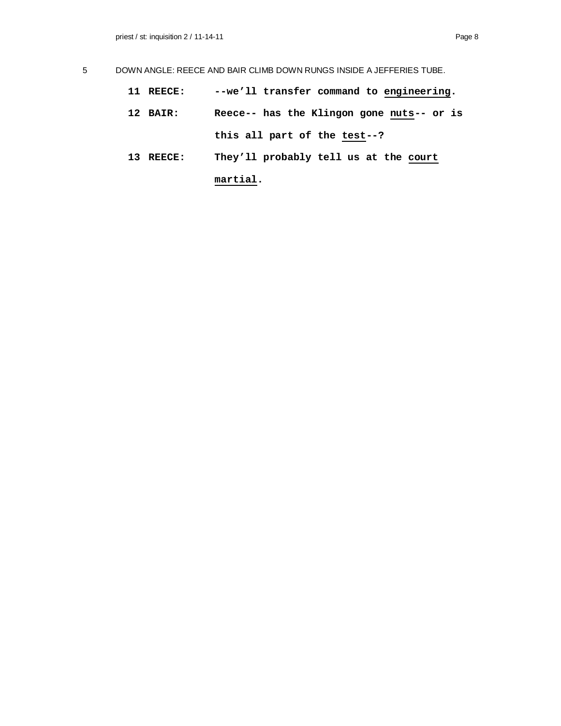- **11 REECE: --we'll transfer command to engineering.**
- **12 BAIR: Reece-- has the Klingon gone nuts-- or is this all part of the test--?**
- **13 REECE: They'll probably tell us at the court martial.**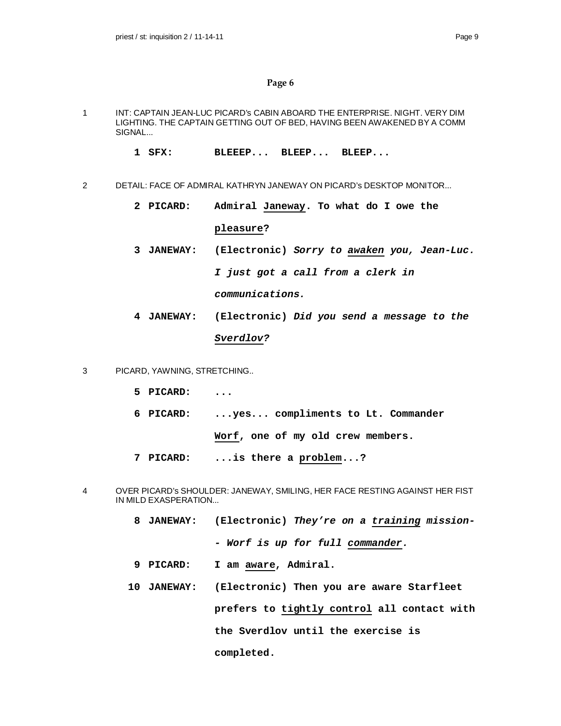- 1 INT: CAPTAIN JEAN-LUC PICARD's CABIN ABOARD THE ENTERPRISE. NIGHT. VERY DIM LIGHTING. THE CAPTAIN GETTING OUT OF BED, HAVING BEEN AWAKENED BY A COMM SIGNAL...
	- **1 SFX: BLEEEP... BLEEP... BLEEP...**
- 2 DETAIL: FACE OF ADMIRAL KATHRYN JANEWAY ON PICARD's DESKTOP MONITOR...
	- **2 PICARD: Admiral Janeway. To what do I owe the pleasure?**
	- **3 JANEWAY: (Electronic)** *Sorry to awaken you, Jean-Luc. I just got a call from a clerk in communications.*
	- **4 JANEWAY: (Electronic)** *Did you send a message to the Sverdlov?*
- 3 PICARD, YAWNING, STRETCHING..
	- **5 PICARD: ...**
	- **6 PICARD: ...yes... compliments to Lt. Commander**

**Worf, one of my old crew members.**

- **7 PICARD: ...is there a problem...?**
- 4 OVER PICARD's SHOULDER: JANEWAY, SMILING, HER FACE RESTING AGAINST HER FIST IN MILD EXASPERATION...
	- **8 JANEWAY: (Electronic)** *They're on a training mission- - Worf is up for full commander.*
	- **9 PICARD: I am aware, Admiral.**
	- **10 JANEWAY: (Electronic) Then you are aware Starfleet prefers to tightly control all contact with the Sverdlov until the exercise is completed.**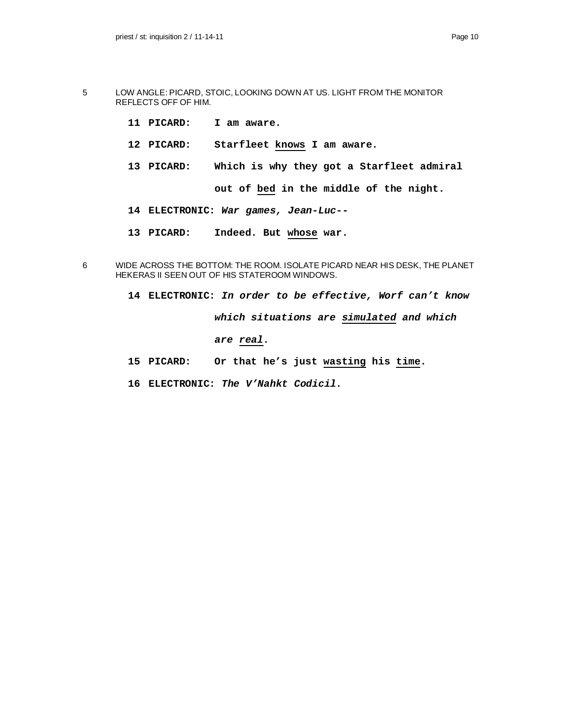- 5 LOW ANGLE: PICARD, STOIC, LOOKING DOWN AT US. LIGHT FROM THE MONITOR REFLECTS OFF OF HIM.
	- **11 PICARD: I am aware.**
	- **12 PICARD: Starfleet knows I am aware.**
	- **13 PICARD: Which is why they got a Starfleet admiral out of bed in the middle of the night.**
	- **14 ELECTRONIC:** *War games, Jean-Luc--*
	- **13 PICARD: Indeed. But whose war.**
- 6 WIDE ACROSS THE BOTTOM: THE ROOM. ISOLATE PICARD NEAR HIS DESK, THE PLANET HEKERAS II SEEN OUT OF HIS STATEROOM WINDOWS.
	- **14 ELECTRONIC:** *In order to be effective, Worf can't know which situations are simulated and which are real.*
	- **15 PICARD: Or that he's just wasting his time.**
	- **16 ELECTRONIC:** *The V'Nahkt Codicil.*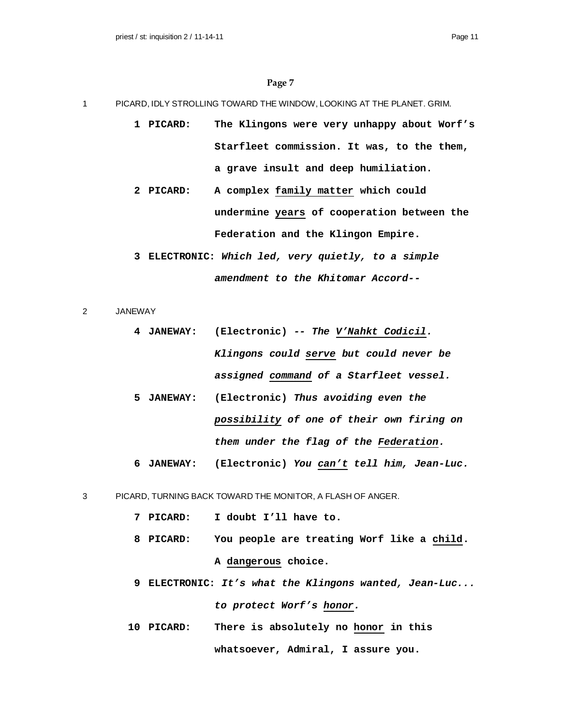- 1 PICARD, IDLY STROLLING TOWARD THE WINDOW, LOOKING AT THE PLANET. GRIM.
	- **1 PICARD: The Klingons were very unhappy about Worf's Starfleet commission. It was, to the them, a grave insult and deep humiliation.**
	- **2 PICARD: A complex family matter which could undermine years of cooperation between the Federation and the Klingon Empire.**
	- **3 ELECTRONIC:** *Which led, very quietly, to a simple amendment to the Khitomar Accord--*
- 2 JANEWAY
	- **4 JANEWAY: (Electronic)** *-- The V'Nahkt Codicil. Klingons could serve but could never be assigned command of a Starfleet vessel.*
	- **5 JANEWAY: (Electronic)** *Thus avoiding even the possibility of one of their own firing on them under the flag of the Federation.*
	- **6 JANEWAY: (Electronic)** *You can't tell him, Jean-Luc.*
- 3 PICARD, TURNING BACK TOWARD THE MONITOR, A FLASH OF ANGER.
	- **7 PICARD: I doubt I'll have to.**
	- **8 PICARD: You people are treating Worf like a child. A dangerous choice.**
	- **9 ELECTRONIC:** *It's what the Klingons wanted, Jean-Luc... to protect Worf's honor.*
	- **10 PICARD: There is absolutely no honor in this whatsoever, Admiral, I assure you.**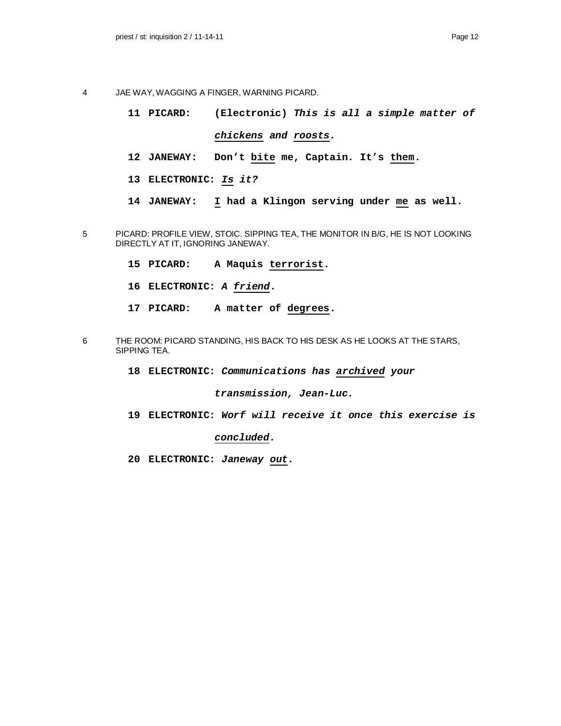- 4 JAE WAY, WAGGING A FINGER, WARNING PICARD.
	- **11 PICARD: (Electronic)** *This is all a simple matter of chickens and roosts.*
	- **12 JANEWAY: Don't bite me, Captain. It's them.**
	- **13 ELECTRONIC:** *Is it?*
	- **14 JANEWAY: I had a Klingon serving under me as well.**
- 5 PICARD: PROFILE VIEW, STOIC. SIPPING TEA, THE MONITOR IN B/G, HE IS NOT LOOKING DIRECTLY AT IT, IGNORING JANEWAY.
	- **15 PICARD: A Maquis terrorist.**
	- **16 ELECTRONIC:** *A friend***.**
	- **17 PICARD: A matter of degrees.**
- 6 THE ROOM: PICARD STANDING, HIS BACK TO HIS DESK AS HE LOOKS AT THE STARS, SIPPING TEA.
	- **18 ELECTRONIC:** *Communications has archived your*

#### *transmission, Jean-Luc.*

**19 ELECTRONIC:** *Worf will receive it once this exercise is*

#### *concluded.*

**20 ELECTRONIC:** *Janeway out.*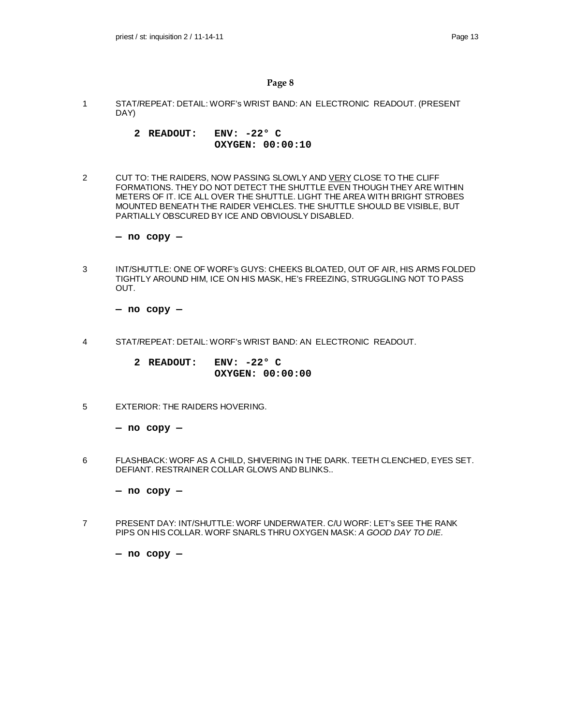- 1 STAT/REPEAT: DETAIL: WORF's WRIST BAND: AN ELECTRONIC READOUT. (PRESENT DAY)
	- **2 READOUT: ENV: -22° C OXYGEN: 00:00:10**
- 2 CUT TO: THE RAIDERS, NOW PASSING SLOWLY AND VERY CLOSE TO THE CLIFF FORMATIONS. THEY DO NOT DETECT THE SHUTTLE EVEN THOUGH THEY ARE WITHIN METERS OF IT. ICE ALL OVER THE SHUTTLE. LIGHT THE AREA WITH BRIGHT STROBES MOUNTED BENEATH THE RAIDER VEHICLES. THE SHUTTLE SHOULD BE VISIBLE, BUT PARTIALLY OBSCURED BY ICE AND OBVIOUSLY DISABLED.

**— no copy —**

3 INT/SHUTTLE: ONE OF WORF's GUYS: CHEEKS BLOATED, OUT OF AIR, HIS ARMS FOLDED TIGHTLY AROUND HIM, ICE ON HIS MASK, HE's FREEZING, STRUGGLING NOT TO PASS OUT.

**— no copy —**

4 STAT/REPEAT: DETAIL: WORF's WRIST BAND: AN ELECTRONIC READOUT.

**2 READOUT: ENV: -22° C OXYGEN: 00:00:00**

5 EXTERIOR: THE RAIDERS HOVERING.

**— no copy —**

6 FLASHBACK: WORF AS A CHILD, SHIVERING IN THE DARK. TEETH CLENCHED, EYES SET. DEFIANT. RESTRAINER COLLAR GLOWS AND BLINKS..

**— no copy —**

7 PRESENT DAY: INT/SHUTTLE: WORF UNDERWATER. C/U WORF: LET's SEE THE RANK PIPS ON HIS COLLAR. WORF SNARLS THRU OXYGEN MASK: *A GOOD DAY TO DIE.*

**— no copy —**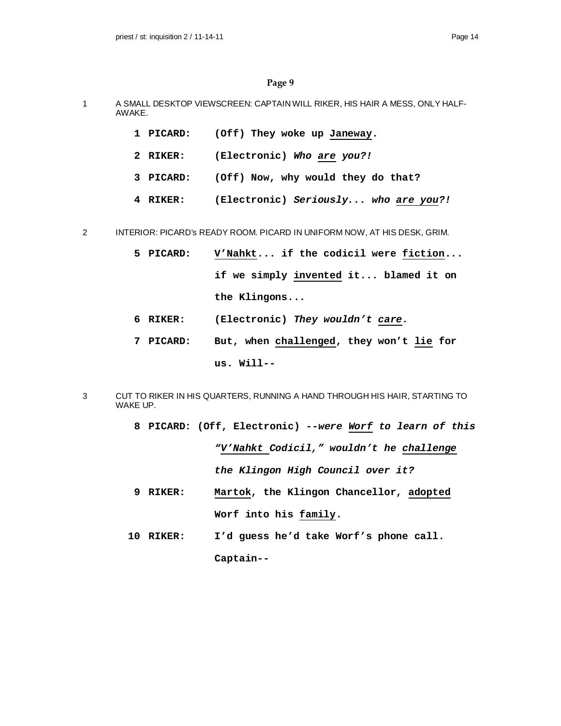- 1 A SMALL DESKTOP VIEWSCREEN: CAPTAIN WILL RIKER, HIS HAIR A MESS, ONLY HALF-AWAKE.
	- **1 PICARD: (Off) They woke up Janeway.**
	- **2 RIKER: (Electronic)** *Who are you?!*
	- **3 PICARD: (Off) Now, why would they do that?**
	- **4 RIKER: (Electronic)** *Seriously... who are you?!*

2 INTERIOR: PICARD's READY ROOM. PICARD IN UNIFORM NOW, AT HIS DESK, GRIM.

- **5 PICARD: V'Nahkt... if the codicil were fiction... if we simply invented it... blamed it on the Klingons...**
- **6 RIKER: (Electronic)** *They wouldn't care.*
- **7 PICARD: But, when challenged, they won't lie for us. Will--**
- 3 CUT TO RIKER IN HIS QUARTERS, RUNNING A HAND THROUGH HIS HAIR, STARTING TO WAKE UP.
	- **8 PICARD: (Off, Electronic)** *--were Worf to learn of this "V'Nahkt Codicil," wouldn't he challenge the Klingon High Council over it?*
	- **9 RIKER: Martok, the Klingon Chancellor, adopted Worf into his family.**
	- **10 RIKER: I'd guess he'd take Worf's phone call. Captain--**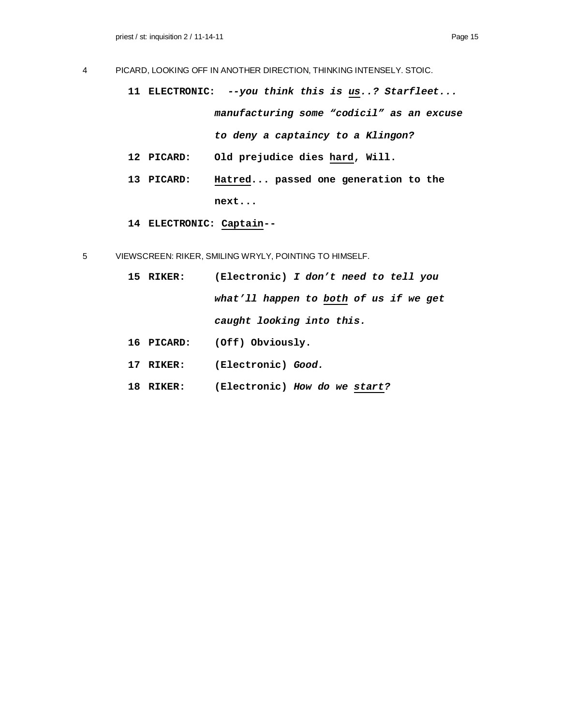- 4 PICARD, LOOKING OFF IN ANOTHER DIRECTION, THINKING INTENSELY. STOIC.
	- **11 ELECTRONIC:** *--you think this is us..? Starfleet... manufacturing some "codicil" as an excuse to deny a captaincy to a Klingon?*
	- **12 PICARD: Old prejudice dies hard, Will.**
	- **13 PICARD: Hatred... passed one generation to the next...**
	- **14 ELECTRONIC: Captain--**
- 5 VIEWSCREEN: RIKER, SMILING WRYLY, POINTING TO HIMSELF.
	- **15 RIKER: (Electronic)** *I don't need to tell you what'll happen to both of us if we get caught looking into this.*
	- **16 PICARD: (Off) Obviously.**
	- **17 RIKER: (Electronic)** *Good.*
	- **18 RIKER: (Electronic)** *How do we start?*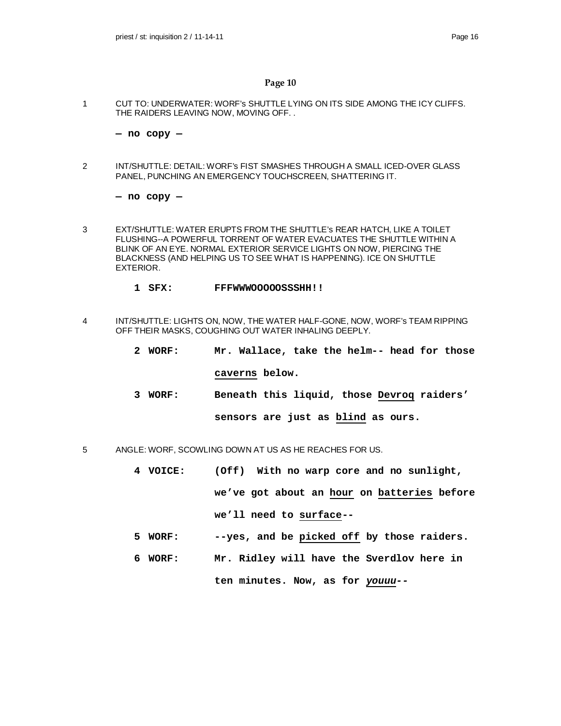1 CUT TO: UNDERWATER: WORF's SHUTTLE LYING ON ITS SIDE AMONG THE ICY CLIFFS. THE RAIDERS LEAVING NOW, MOVING OFF. .

**— no copy —**

2 INT/SHUTTLE: DETAIL: WORF's FIST SMASHES THROUGH A SMALL ICED-OVER GLASS PANEL, PUNCHING AN EMERGENCY TOUCHSCREEN, SHATTERING IT.

**— no copy —**

- 3 EXT/SHUTTLE: WATER ERUPTS FROM THE SHUTTLE's REAR HATCH, LIKE A TOILET FLUSHING--A POWERFUL TORRENT OF WATER EVACUATES THE SHUTTLE WITHIN A BLINK OF AN EYE. NORMAL EXTERIOR SERVICE LIGHTS ON NOW, PIERCING THE BLACKNESS (AND HELPING US TO SEE WHAT IS HAPPENING). ICE ON SHUTTLE EXTERIOR.
	- **1 SFX: FFFWWWOOOOOSSSHH!!**
- 4 INT/SHUTTLE: LIGHTS ON, NOW, THE WATER HALF-GONE, NOW, WORF's TEAM RIPPING OFF THEIR MASKS, COUGHING OUT WATER INHALING DEEPLY.
	- **2 WORF: Mr. Wallace, take the helm-- head for those caverns below.**
	- **3 WORF: Beneath this liquid, those Devroq raiders' sensors are just as blind as ours.**
- 5 ANGLE: WORF, SCOWLING DOWN AT US AS HE REACHES FOR US.
	- **4 VOICE: (Off) With no warp core and no sunlight, we've got about an hour on batteries before we'll need to surface--**
	- **5 WORF: --yes, and be picked off by those raiders.**
	- **6 WORF: Mr. Ridley will have the Sverdlov here in ten minutes. Now, as for** *youuu--*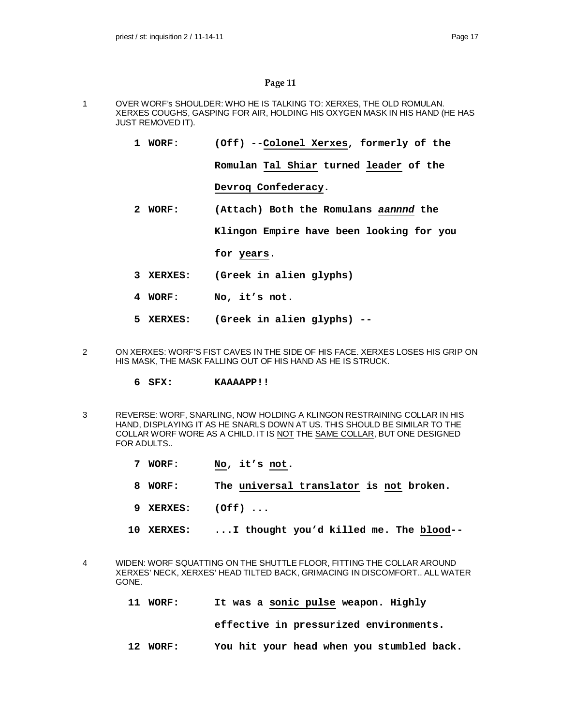- 1 OVER WORF's SHOULDER: WHO HE IS TALKING TO: XERXES, THE OLD ROMULAN. XERXES COUGHS, GASPING FOR AIR, HOLDING HIS OXYGEN MASK IN HIS HAND (HE HAS JUST REMOVED IT).
	- **1 WORF: (Off) --Colonel Xerxes, formerly of the**

**Romulan Tal Shiar turned leader of the**

**Devroq Confederacy.**

**2 WORF: (Attach) Both the Romulans** *aannnd* **the**

**Klingon Empire have been looking for you**

**for years.**

- **3 XERXES: (Greek in alien glyphs)**
- **4 WORF: No, it's not.**
- **5 XERXES: (Greek in alien glyphs) --**
- 2 ON XERXES: WORF'S FIST CAVES IN THE SIDE OF HIS FACE. XERXES LOSES HIS GRIP ON HIS MASK, THE MASK FALLING OUT OF HIS HAND AS HE IS STRUCK.
	- **6 SFX: KAAAAPP!!**
- 3 REVERSE: WORF, SNARLING, NOW HOLDING A KLINGON RESTRAINING COLLAR IN HIS HAND, DISPLAYING IT AS HE SNARLS DOWN AT US. THIS SHOULD BE SIMILAR TO THE COLLAR WORF WORE AS A CHILD. IT IS NOT THE SAME COLLAR, BUT ONE DESIGNED FOR ADULTS..
	- **7 WORF: No, it's not.**
	- **8 WORF: The universal translator is not broken.**
	- **9 XERXES: (Off) ...**
	- **10 XERXES: ...I thought you'd killed me. The blood--**
- 4 WIDEN: WORF SQUATTING ON THE SHUTTLE FLOOR, FITTING THE COLLAR AROUND XERXES' NECK, XERXES' HEAD TILTED BACK, GRIMACING IN DISCOMFORT.. ALL WATER GONE.
	- **11 WORF: It was a sonic pulse weapon. Highly**

**effective in pressurized environments.**

**12 WORF: You hit your head when you stumbled back.**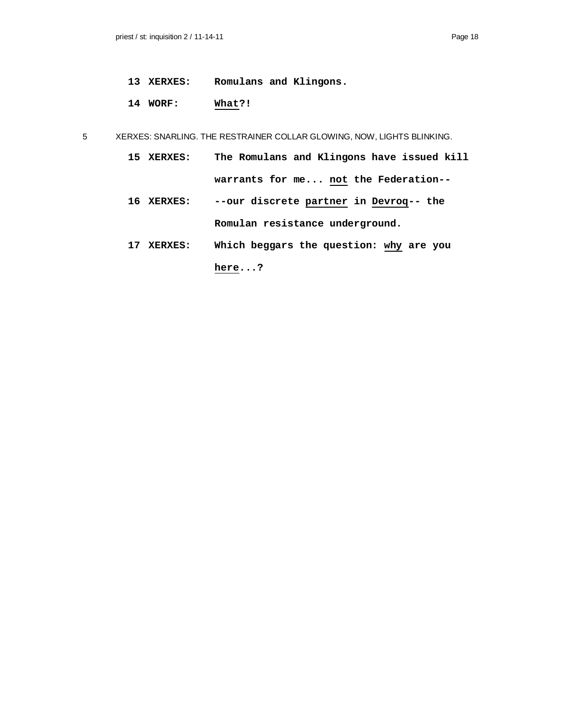- **13 XERXES: Romulans and Klingons.**
- **14 WORF: What?!**

5 XERXES: SNARLING. THE RESTRAINER COLLAR GLOWING, NOW, LIGHTS BLINKING.

- **15 XERXES: The Romulans and Klingons have issued kill warrants for me... not the Federation--**
- **16 XERXES: --our discrete partner in Devroq-- the Romulan resistance underground.**
- **17 XERXES: Which beggars the question: why are you here...?**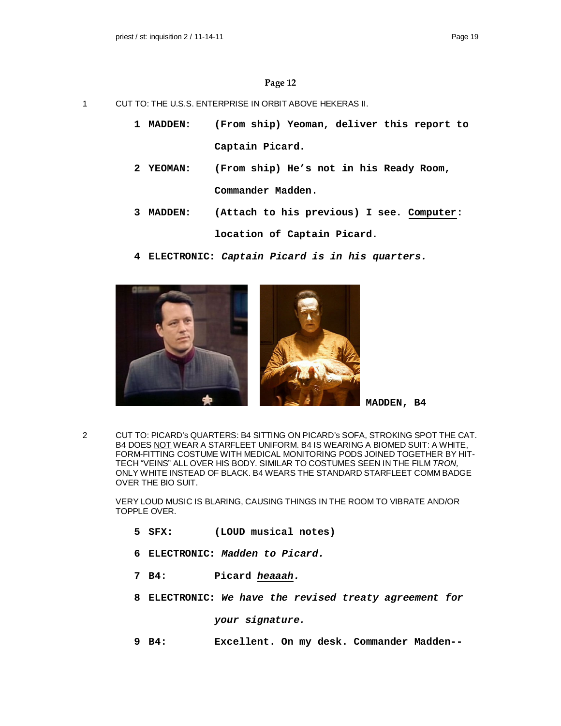- 1 CUT TO: THE U.S.S. ENTERPRISE IN ORBIT ABOVE HEKERAS II.
	- **1 MADDEN: (From ship) Yeoman, deliver this report to Captain Picard.**
	- **2 YEOMAN: (From ship) He's not in his Ready Room, Commander Madden.**
	- **3 MADDEN: (Attach to his previous) I see. Computer: location of Captain Picard.**
	- **4 ELECTRONIC:** *Captain Picard is in his quarters.*



**MADDEN, B4**

2 CUT TO: PICARD's QUARTERS: B4 SITTING ON PICARD's SOFA, STROKING SPOT THE CAT. B4 DOES NOT WEAR A STARFLEET UNIFORM. B4 IS WEARING A BIOMED SUIT: A WHITE, FORM-FITTING COSTUME WITH MEDICAL MONITORING PODS JOINED TOGETHER BY HIT-TECH "VEINS" ALL OVER HIS BODY. SIMILAR TO COSTUMES SEEN IN THE FILM *TRON,* ONLY WHITE INSTEAD OF BLACK. B4 WEARS THE STANDARD STARFLEET COMM BADGE OVER THE BIO SUIT.

VERY LOUD MUSIC IS BLARING, CAUSING THINGS IN THE ROOM TO VIBRATE AND/OR TOPPLE OVER.

- **5 SFX: (LOUD musical notes)**
- **6 ELECTRONIC:** *Madden to Picard.*
- **7 B4: Picard** *heaaah.*
- **8 ELECTRONIC:** *We have the revised treaty agreement for*

*your signature.*

**9 B4: Excellent. On my desk. Commander Madden--**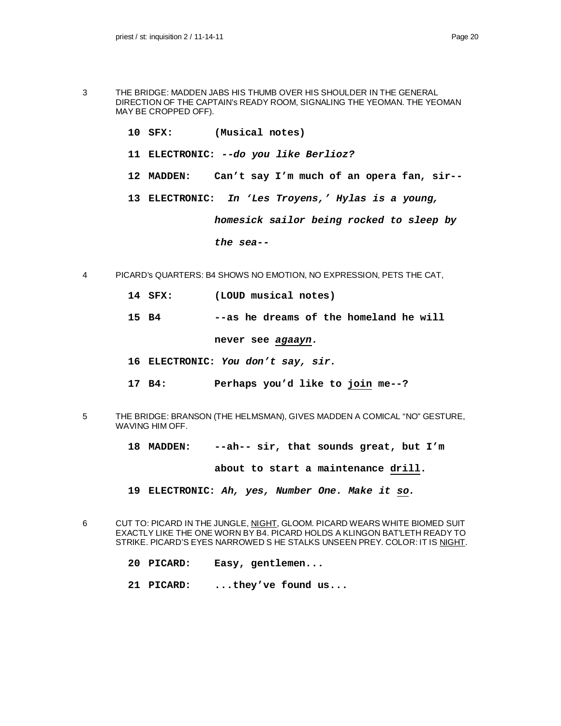- 3 THE BRIDGE: MADDEN JABS HIS THUMB OVER HIS SHOULDER IN THE GENERAL DIRECTION OF THE CAPTAIN's READY ROOM, SIGNALING THE YEOMAN. THE YEOMAN MAY BE CROPPED OFF).
	- **10 SFX: (Musical notes)**
	- **11 ELECTRONIC:** *--do you like Berlioz?*
	- **12 MADDEN: Can't say I'm much of an opera fan, sir--**
	- **13 ELECTRONIC:** *In 'Les Troyens,' Hylas is a young,*

*homesick sailor being rocked to sleep by*

#### *the sea--*

- 4 PICARD's QUARTERS: B4 SHOWS NO EMOTION, NO EXPRESSION, PETS THE CAT,
	- **14 SFX: (LOUD musical notes)**
	- **15 B4 --as he dreams of the homeland he will**

**never see** *agaayn.*

- **16 ELECTRONIC:** *You don't say, sir.*
- **17 B4: Perhaps you'd like to join me--?**
- 5 THE BRIDGE: BRANSON (THE HELMSMAN), GIVES MADDEN A COMICAL "NO" GESTURE, WAVING HIM OFF.
	- **18 MADDEN: --ah-- sir, that sounds great, but I'm**

**about to start a maintenance drill.**

**19 ELECTRONIC:** *Ah, yes, Number One. Make it so.*

6 CUT TO: PICARD IN THE JUNGLE, NIGHT, GLOOM. PICARD WEARS WHITE BIOMED SUIT EXACTLY LIKE THE ONE WORN BY B4. PICARD HOLDS A KLINGON BAT'LETH READY TO STRIKE. PICARD'S EYES NARROWED S HE STALKS UNSEEN PREY. COLOR: IT IS NIGHT.

- **20 PICARD: Easy, gentlemen...**
- **21 PICARD: ...they've found us...**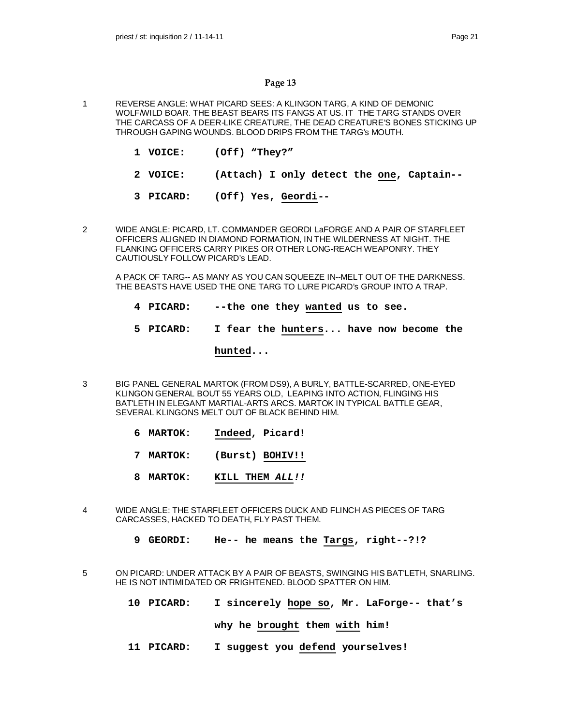- 1 REVERSE ANGLE: WHAT PICARD SEES: A KLINGON TARG, A KIND OF DEMONIC WOLF/WILD BOAR. THE BEAST BEARS ITS FANGS AT US. IT THE TARG STANDS OVER THE CARCASS OF A DEER-LIKE CREATURE, THE DEAD CREATURE'S BONES STICKING UP THROUGH GAPING WOUNDS. BLOOD DRIPS FROM THE TARG's MOUTH.
	- **1 VOICE: (Off) "They?"**
	- **2 VOICE: (Attach) I only detect the one, Captain--**
	- **3 PICARD: (Off) Yes, Geordi--**
- 2 WIDE ANGLE: PICARD, LT. COMMANDER GEORDI LaFORGE AND A PAIR OF STARFLEET OFFICERS ALIGNED IN DIAMOND FORMATION, IN THE WILDERNESS AT NIGHT. THE FLANKING OFFICERS CARRY PIKES OR OTHER LONG-REACH WEAPONRY. THEY CAUTIOUSLY FOLLOW PICARD's LEAD.

A PACK OF TARG-- AS MANY AS YOU CAN SQUEEZE IN--MELT OUT OF THE DARKNESS. THE BEASTS HAVE USED THE ONE TARG TO LURE PICARD's GROUP INTO A TRAP.

- **4 PICARD: --the one they wanted us to see.**
- **5 PICARD: I fear the hunters... have now become the**

# **hunted...**

- 3 BIG PANEL GENERAL MARTOK (FROM DS9), A BURLY, BATTLE-SCARRED, ONE-EYED KLINGON GENERAL BOUT 55 YEARS OLD, LEAPING INTO ACTION, FLINGING HIS BAT'LETH IN ELEGANT MARTIAL-ARTS ARCS. MARTOK IN TYPICAL BATTLE GEAR, SEVERAL KLINGONS MELT OUT OF BLACK BEHIND HIM.
	- **6 MARTOK: Indeed, Picard!**
	- **7 MARTOK: (Burst) BOHIV!!**
	- **8 MARTOK: KILL THEM** *ALL!!*
- 4 WIDE ANGLE: THE STARFLEET OFFICERS DUCK AND FLINCH AS PIECES OF TARG CARCASSES, HACKED TO DEATH, FLY PAST THEM.
	- **9 GEORDI: He-- he means the Targs, right--?!?**
- 5 ON PICARD: UNDER ATTACK BY A PAIR OF BEASTS, SWINGING HIS BAT'LETH, SNARLING. HE IS NOT INTIMIDATED OR FRIGHTENED. BLOOD SPATTER ON HIM.
	- **10 PICARD: I sincerely hope so, Mr. LaForge-- that's**

**why he brought them with him!**

**11 PICARD: I suggest you defend yourselves!**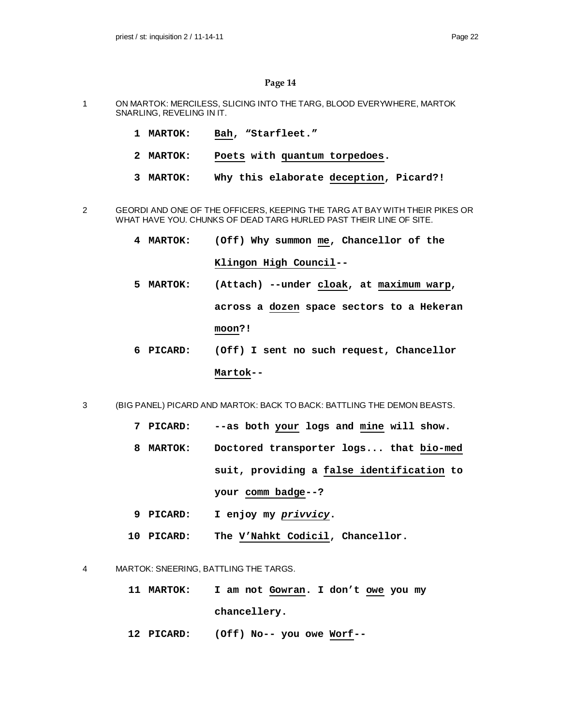- 1 ON MARTOK: MERCILESS, SLICING INTO THE TARG, BLOOD EVERYWHERE, MARTOK SNARLING, REVELING IN IT.
	- **1 MARTOK: Bah, "Starfleet."**
	- **2 MARTOK: Poets with quantum torpedoes.**
	- **3 MARTOK: Why this elaborate deception, Picard?!**
- 2 GEORDI AND ONE OF THE OFFICERS, KEEPING THE TARG AT BAY WITH THEIR PIKES OR WHAT HAVE YOU. CHUNKS OF DEAD TARG HURLED PAST THEIR LINE OF SITE.
	- **4 MARTOK: (Off) Why summon me, Chancellor of the Klingon High Council--**
	- **5 MARTOK: (Attach) --under cloak, at maximum warp, across a dozen space sectors to a Hekeran moon?!**
	- **6 PICARD: (Off) I sent no such request, Chancellor Martok--**
- 3 (BIG PANEL) PICARD AND MARTOK: BACK TO BACK: BATTLING THE DEMON BEASTS.
	- **7 PICARD: --as both your logs and mine will show.**
	- **8 MARTOK: Doctored transporter logs... that bio-med suit, providing a false identification to your comm badge--?**
	- **9 PICARD: I enjoy my** *privvicy***.**
	- **10 PICARD: The V'Nahkt Codicil, Chancellor.**
- 4 MARTOK: SNEERING, BATTLING THE TARGS.
	- **11 MARTOK: I am not Gowran. I don't owe you my chancellery.**
	- **12 PICARD: (Off) No-- you owe Worf--**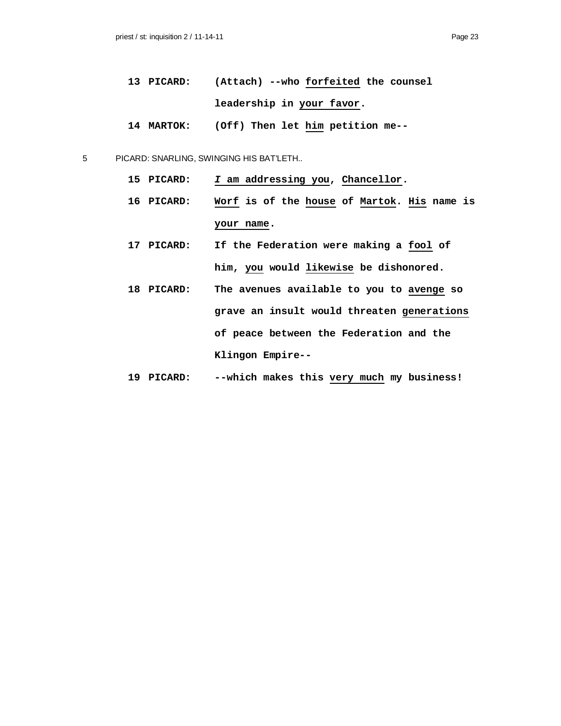- **13 PICARD: (Attach) --who forfeited the counsel leadership in your favor.**
- **14 MARTOK: (Off) Then let him petition me--**
- 5 PICARD: SNARLING, SWINGING HIS BAT'LETH..
	- **15 PICARD:** *I* **am addressing you, Chancellor.**
	- **16 PICARD: Worf is of the house of Martok. His name is your name.**
	- **17 PICARD: If the Federation were making a fool of him, you would likewise be dishonored.**
	- **18 PICARD: The avenues available to you to avenge so grave an insult would threaten generations of peace between the Federation and the Klingon Empire--**
	- **19 PICARD: --which makes this very much my business!**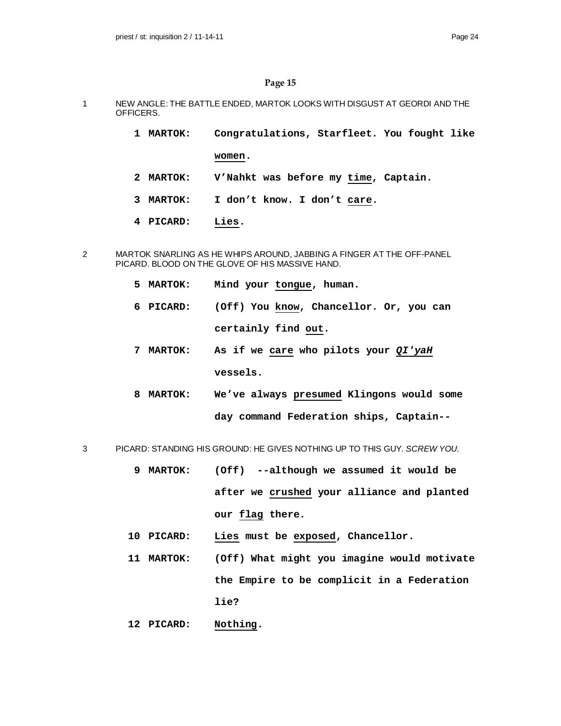- 1 NEW ANGLE: THE BATTLE ENDED, MARTOK LOOKS WITH DISGUST AT GEORDI AND THE OFFICERS.
	- **1 MARTOK: Congratulations, Starfleet. You fought like**

**women.**

- **2 MARTOK: V'Nahkt was before my time, Captain.**
- **3 MARTOK: I don't know. I don't care.**
- **4 PICARD: Lies.**
- 2 MARTOK SNARLING AS HE WHIPS AROUND, JABBING A FINGER AT THE OFF-PANEL PICARD. BLOOD ON THE GLOVE OF HIS MASSIVE HAND.
	- **5 MARTOK: Mind your tongue, human.**
	- **6 PICARD: (Off) You know, Chancellor. Or, you can certainly find out.**
	- **7 MARTOK: As if we care who pilots your** *QI'yaH* **vessels.**
	- **8 MARTOK: We've always presumed Klingons would some day command Federation ships, Captain--**
- 3 PICARD: STANDING HIS GROUND: HE GIVES NOTHING UP TO THIS GUY. *SCREW YOU.*
	- **9 MARTOK: (Off) --although we assumed it would be after we crushed your alliance and planted our flag there.**
	- **10 PICARD: Lies must be exposed, Chancellor.**
	- **11 MARTOK: (Off) What might you imagine would motivate the Empire to be complicit in a Federation lie?**
	- **12 PICARD: Nothing.**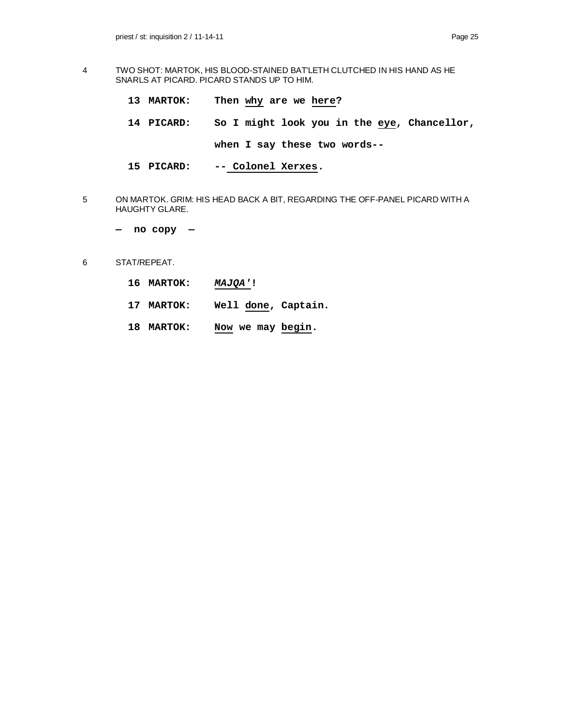- 4 TWO SHOT: MARTOK, HIS BLOOD-STAINED BAT'LETH CLUTCHED IN HIS HAND AS HE SNARLS AT PICARD. PICARD STANDS UP TO HIM.
	- **13 MARTOK: Then why are we here?**
	- **14 PICARD: So I might look you in the eye, Chancellor, when I say these two words--**
	- **15 PICARD: -- Colonel Xerxes.**
- 5 ON MARTOK. GRIM: HIS HEAD BACK A BIT, REGARDING THE OFF-PANEL PICARD WITH A HAUGHTY GLARE.
	- **no copy —**
- 6 STAT/REPEAT.
	- **16 MARTOK:** *MAJQA'***!**
	- **17 MARTOK: Well done, Captain.**
	- **18 MARTOK: Now we may begin.**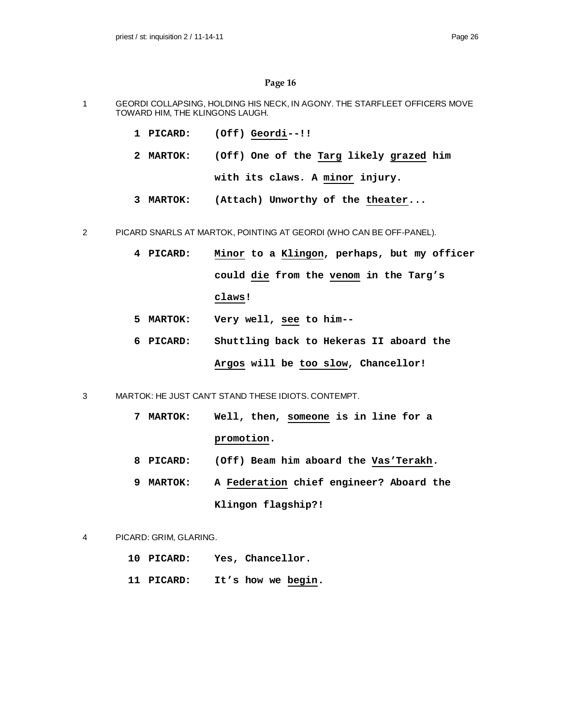- 1 GEORDI COLLAPSING, HOLDING HIS NECK, IN AGONY. THE STARFLEET OFFICERS MOVE TOWARD HIM, THE KLINGONS LAUGH.
	- **1 PICARD: (Off) Geordi--!!**
	- **2 MARTOK: (Off) One of the Targ likely grazed him with its claws. A minor injury.**
	- **3 MARTOK: (Attach) Unworthy of the theater...**
- 2 PICARD SNARLS AT MARTOK, POINTING AT GEORDI (WHO CAN BE OFF-PANEL).
	- **4 PICARD: Minor to a Klingon, perhaps, but my officer could die from the venom in the Targ's claws!**
	- **5 MARTOK: Very well, see to him--**
	- **6 PICARD: Shuttling back to Hekeras II aboard the Argos will be too slow, Chancellor!**
- 3 MARTOK: HE JUST CAN'T STAND THESE IDIOTS. CONTEMPT.
	- **7 MARTOK: Well, then, someone is in line for a promotion.**
	- **8 PICARD: (Off) Beam him aboard the Vas'Terakh.**
	- **9 MARTOK: A Federation chief engineer? Aboard the Klingon flagship?!**
- 4 PICARD: GRIM, GLARING.
	- **10 PICARD: Yes, Chancellor.**
	- **11 PICARD: It's how we begin.**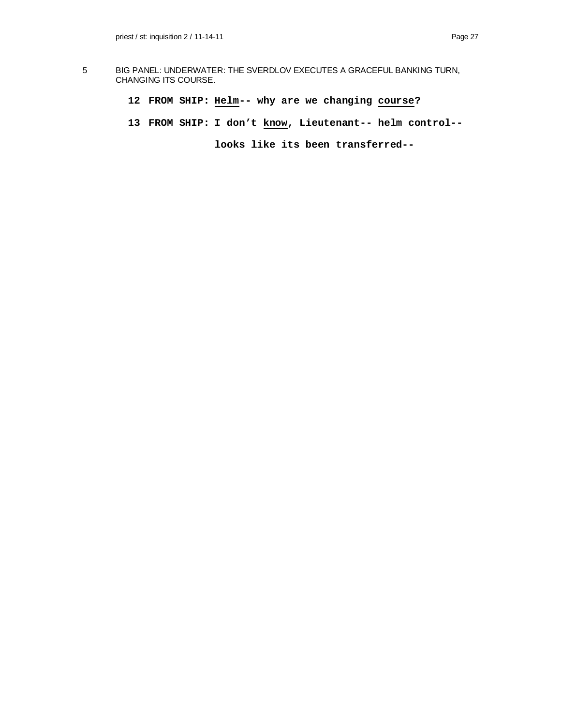- 5 BIG PANEL: UNDERWATER: THE SVERDLOV EXECUTES A GRACEFUL BANKING TURN, CHANGING ITS COURSE.
	- **12 FROM SHIP: Helm-- why are we changing course?**
	- **13 FROM SHIP: I don't know, Lieutenant-- helm control--**

**looks like its been transferred--**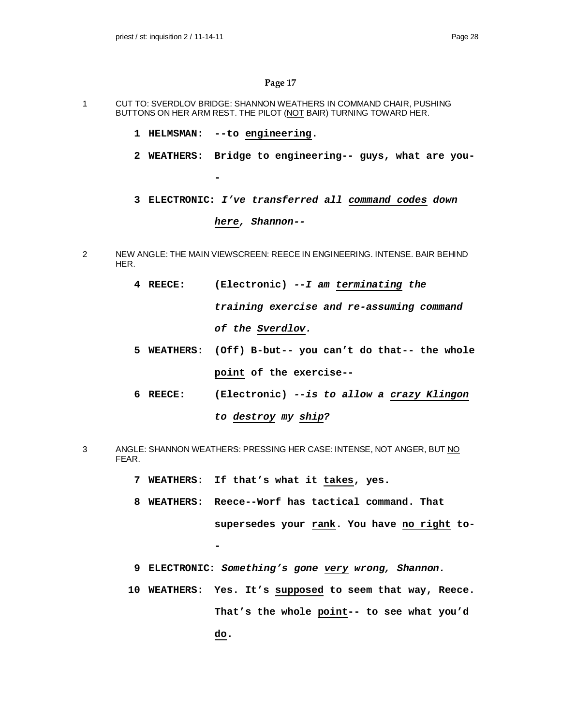- 1 CUT TO: SVERDLOV BRIDGE: SHANNON WEATHERS IN COMMAND CHAIR, PUSHING BUTTONS ON HER ARM REST. THE PILOT (NOT BAIR) TURNING TOWARD HER.
	- **1 HELMSMAN: --to engineering.**

**-**

- **2 WEATHERS: Bridge to engineering-- guys, what are you-**
- **3 ELECTRONIC:** *I've transferred all command codes down here, Shannon--*
- 2 NEW ANGLE: THE MAIN VIEWSCREEN: REECE IN ENGINEERING. INTENSE. BAIR BEHIND HER.
	- **4 REECE: (Electronic)** *--I am terminating the training exercise and re-assuming command of the Sverdlov.*
	- **5 WEATHERS: (Off) B-but-- you can't do that-- the whole point of the exercise--**
	- **6 REECE: (Electronic)** *--is to allow a crazy Klingon to destroy my ship?*
- 3 ANGLE: SHANNON WEATHERS: PRESSING HER CASE: INTENSE, NOT ANGER, BUT NO FEAR.
	- **7 WEATHERS: If that's what it takes, yes.**

**-**

- **8 WEATHERS: Reece--Worf has tactical command. That supersedes your rank. You have no right to-**
- **9 ELECTRONIC:** *Something's gone very wrong, Shannon.*
- **10 WEATHERS: Yes. It's supposed to seem that way, Reece. That's the whole point-- to see what you'd do.**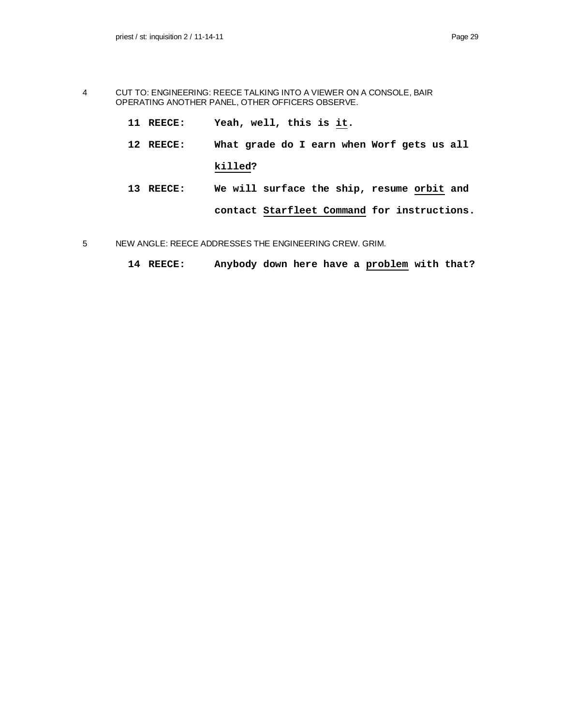- 4 CUT TO: ENGINEERING: REECE TALKING INTO A VIEWER ON A CONSOLE, BAIR OPERATING ANOTHER PANEL, OTHER OFFICERS OBSERVE.
	- **11 REECE: Yeah, well, this is it.**
	- **12 REECE: What grade do I earn when Worf gets us all killed?**
	- **13 REECE: We will surface the ship, resume orbit and contact Starfleet Command for instructions.**
- 5 NEW ANGLE: REECE ADDRESSES THE ENGINEERING CREW. GRIM.
	- **14 REECE: Anybody down here have a problem with that?**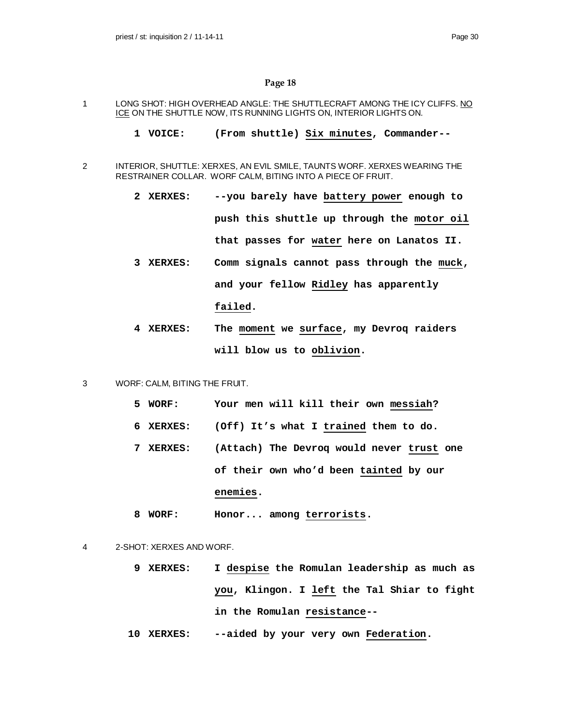- 1 LONG SHOT: HIGH OVERHEAD ANGLE: THE SHUTTLECRAFT AMONG THE ICY CLIFFS. NO ICE ON THE SHUTTLE NOW, ITS RUNNING LIGHTS ON, INTERIOR LIGHTS ON.
	- **1 VOICE: (From shuttle) Six minutes, Commander--**
- 2 INTERIOR, SHUTTLE: XERXES, AN EVIL SMILE, TAUNTS WORF. XERXES WEARING THE RESTRAINER COLLAR. WORF CALM, BITING INTO A PIECE OF FRUIT.
	- **2 XERXES: --you barely have battery power enough to push this shuttle up through the motor oil that passes for water here on Lanatos II.**
	- **3 XERXES: Comm signals cannot pass through the muck, and your fellow Ridley has apparently failed.**
	- **4 XERXES: The moment we surface, my Devroq raiders will blow us to oblivion.**
- 3 WORF: CALM, BITING THE FRUIT.
	- **5 WORF: Your men will kill their own messiah?**
	- **6 XERXES: (Off) It's what I trained them to do.**
	- **7 XERXES: (Attach) The Devroq would never trust one of their own who'd been tainted by our enemies.**
	- **8 WORF: Honor... among terrorists.**
- 4 2-SHOT: XERXES AND WORF.
	- **9 XERXES: I despise the Romulan leadership as much as you, Klingon. I left the Tal Shiar to fight in the Romulan resistance--**
	- **10 XERXES: --aided by your very own Federation.**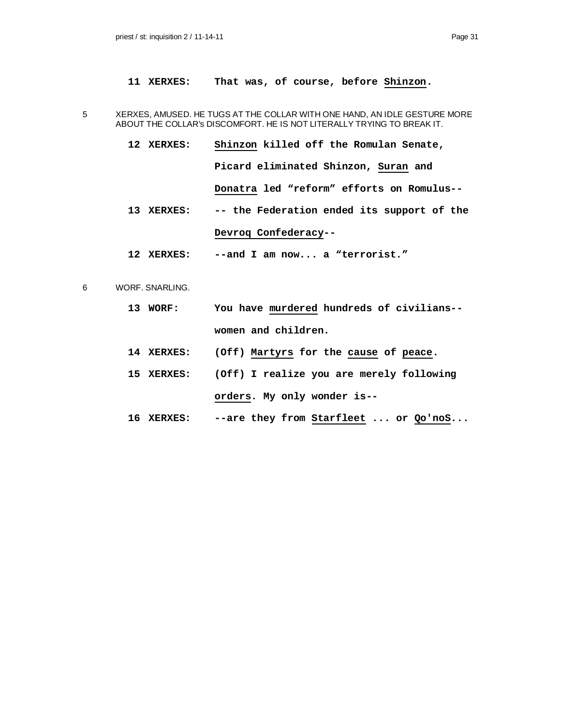- **11 XERXES: That was, of course, before Shinzon.**
- 5 XERXES, AMUSED. HE TUGS AT THE COLLAR WITH ONE HAND, AN IDLE GESTURE MORE ABOUT THE COLLAR's DISCOMFORT. HE IS NOT LITERALLY TRYING TO BREAK IT.
	- **12 XERXES: Shinzon killed off the Romulan Senate, Picard eliminated Shinzon, Suran and Donatra led "reform" efforts on Romulus-- 13 XERXES: -- the Federation ended its support of the**

# **Devroq Confederacy--**

- **12 XERXES: --and I am now... a "terrorist."**
- 6 WORF. SNARLING.
	- **13 WORF: You have murdered hundreds of civilians- women and children.**
	- **14 XERXES: (Off) Martyrs for the cause of peace.**
	- **15 XERXES: (Off) I realize you are merely following orders. My only wonder is--**
	- **16 XERXES: --are they from Starfleet ... or Qo'noS...**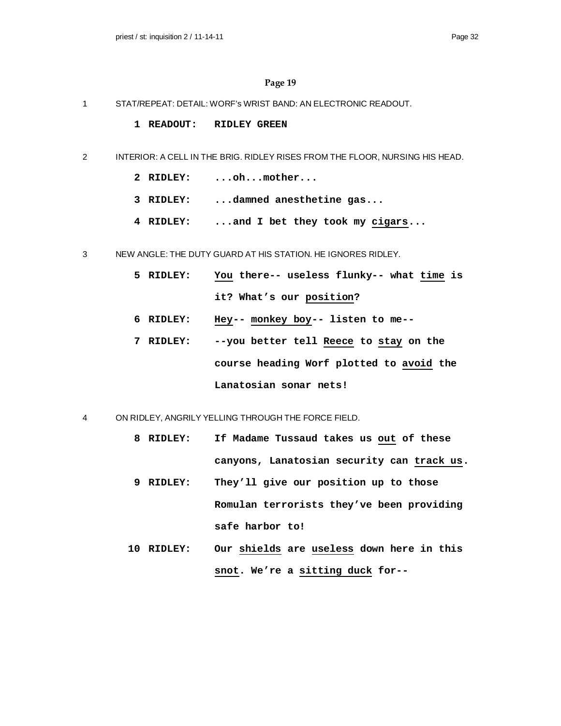- 1 STAT/REPEAT: DETAIL: WORF's WRIST BAND: AN ELECTRONIC READOUT.
	- **1 READOUT: RIDLEY GREEN**
- 2 INTERIOR: A CELL IN THE BRIG. RIDLEY RISES FROM THE FLOOR, NURSING HIS HEAD.
	- **2 RIDLEY: ...oh...mother...**
	- **3 RIDLEY: ...damned anesthetine gas...**
	- **4 RIDLEY: ...and I bet they took my cigars...**
- 3 NEW ANGLE: THE DUTY GUARD AT HIS STATION. HE IGNORES RIDLEY.
	- **5 RIDLEY: You there-- useless flunky-- what time is it? What's our position?**
	- **6 RIDLEY: Hey-- monkey boy-- listen to me--**
	- **7 RIDLEY: --you better tell Reece to stay on the course heading Worf plotted to avoid the Lanatosian sonar nets!**
- 4 ON RIDLEY, ANGRILY YELLING THROUGH THE FORCE FIELD.
	- **8 RIDLEY: If Madame Tussaud takes us out of these canyons, Lanatosian security can track us.**
	- **9 RIDLEY: They'll give our position up to those Romulan terrorists they've been providing safe harbor to!**
	- **10 RIDLEY: Our shields are useless down here in this snot. We're a sitting duck for--**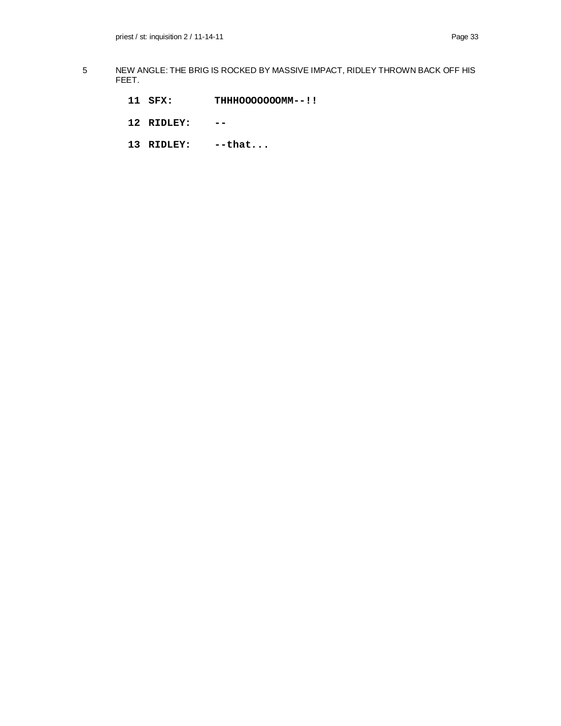- 5 NEW ANGLE: THE BRIG IS ROCKED BY MASSIVE IMPACT, RIDLEY THROWN BACK OFF HIS FEET.
	- **11 SFX: THHHOOOOOOOMM--!!**
	- **12 RIDLEY: --**
	- **13 RIDLEY: --that...**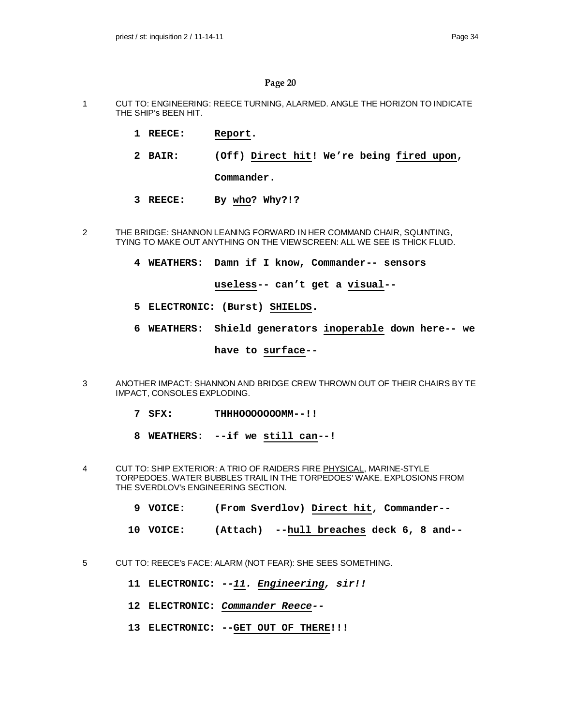- 1 CUT TO: ENGINEERING: REECE TURNING, ALARMED. ANGLE THE HORIZON TO INDICATE THE SHIP's BEEN HIT.
	- **1 REECE: Report.**
	- **2 BAIR: (Off) Direct hit! We're being fired upon,**

**Commander.**

- **3 REECE: By who? Why?!?**
- 2 THE BRIDGE: SHANNON LEANING FORWARD IN HER COMMAND CHAIR, SQUINTING, TYING TO MAKE OUT ANYTHING ON THE VIEWSCREEN: ALL WE SEE IS THICK FLUID.
	- **4 WEATHERS: Damn if I know, Commander-- sensors**

**useless-- can't get a visual--**

- **5 ELECTRONIC: (Burst) SHIELDS.**
- **6 WEATHERS: Shield generators inoperable down here-- we**

**have to surface--**

- 3 ANOTHER IMPACT: SHANNON AND BRIDGE CREW THROWN OUT OF THEIR CHAIRS BY TE IMPACT, CONSOLES EXPLODING.
	- **7 SFX: THHHOOOOOOOMM--!!**
	- **8 WEATHERS: --if we still can--!**
- 4 CUT TO: SHIP EXTERIOR: A TRIO OF RAIDERS FIRE PHYSICAL, MARINE-STYLE TORPEDOES. WATER BUBBLES TRAIL IN THE TORPEDOES' WAKE. EXPLOSIONS FROM THE SVERDLOV's ENGINEERING SECTION.
	- **9 VOICE: (From Sverdlov) Direct hit, Commander--**
	- **10 VOICE: (Attach) --hull breaches deck 6, 8 and--**
- 5 CUT TO: REECE's FACE: ALARM (NOT FEAR): SHE SEES SOMETHING.
	- **11 ELECTRONIC:** *--11. Engineering, sir!!*
	- **12 ELECTRONIC:** *Commander Reece--*
	- **13 ELECTRONIC: --GET OUT OF THERE!!!**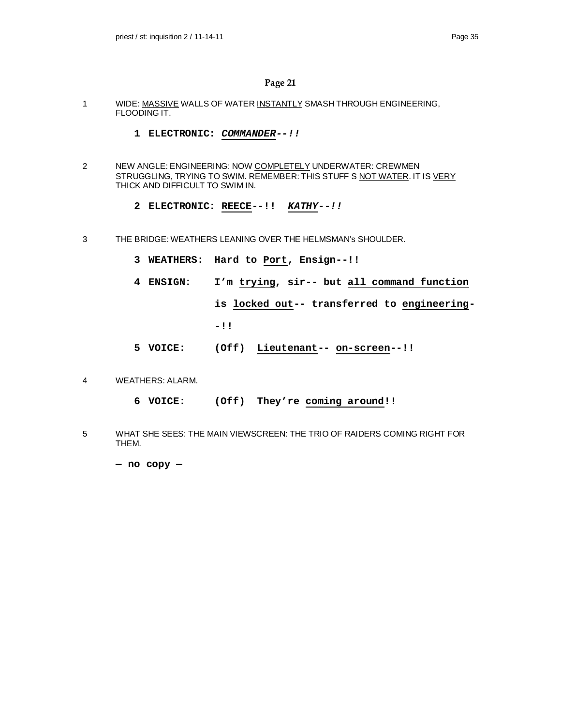- 1 WIDE: MASSIVE WALLS OF WATER INSTANTLY SMASH THROUGH ENGINEERING, FLOODING IT.
	- **1 ELECTRONIC:** *COMMANDER--!!*
- 2 NEW ANGLE: ENGINEERING: NOW COMPLETELY UNDERWATER: CREWMEN STRUGGLING, TRYING TO SWIM. REMEMBER: THIS STUFF S NOT WATER. IT IS VERY THICK AND DIFFICULT TO SWIM IN.
	- **2 ELECTRONIC: REECE--!!** *KATHY--!!*
- 3 THE BRIDGE: WEATHERS LEANING OVER THE HELMSMAN's SHOULDER.
	- **3 WEATHERS: Hard to Port, Ensign--!!**
	- **4 ENSIGN: I'm trying, sir-- but all command function**

**is locked out-- transferred to engineering-**

**-!!**

- **5 VOICE: (Off) Lieutenant-- on-screen--!!**
- 4 WEATHERS: ALARM.
	- **6 VOICE: (Off) They're coming around!!**
- 5 WHAT SHE SEES: THE MAIN VIEWSCREEN: THE TRIO OF RAIDERS COMING RIGHT FOR THEM.

**— no copy —**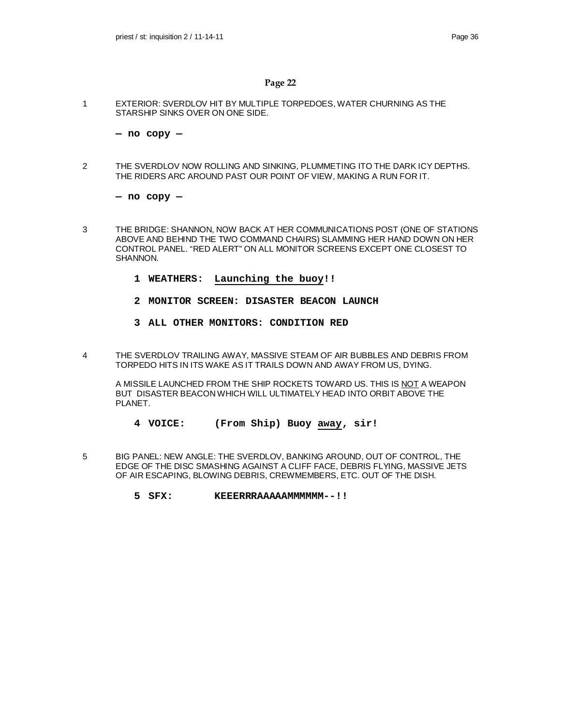1 EXTERIOR: SVERDLOV HIT BY MULTIPLE TORPEDOES, WATER CHURNING AS THE STARSHIP SINKS OVER ON ONE SIDE.

**— no copy —**

2 THE SVERDLOV NOW ROLLING AND SINKING, PLUMMETING ITO THE DARK ICY DEPTHS. THE RIDERS ARC AROUND PAST OUR POINT OF VIEW, MAKING A RUN FOR IT.

**— no copy —**

- 3 THE BRIDGE: SHANNON, NOW BACK AT HER COMMUNICATIONS POST (ONE OF STATIONS ABOVE AND BEHIND THE TWO COMMAND CHAIRS) SLAMMING HER HAND DOWN ON HER CONTROL PANEL. "RED ALERT" ON ALL MONITOR SCREENS EXCEPT ONE CLOSEST TO SHANNON.
	- **1 WEATHERS: Launching the buoy!!**
	- **2 MONITOR SCREEN: DISASTER BEACON LAUNCH**
	- **3 ALL OTHER MONITORS: CONDITION RED**
- 4 THE SVERDLOV TRAILING AWAY, MASSIVE STEAM OF AIR BUBBLES AND DEBRIS FROM TORPEDO HITS IN ITS WAKE AS IT TRAILS DOWN AND AWAY FROM US, DYING.

A MISSILE LAUNCHED FROM THE SHIP ROCKETS TOWARD US. THIS IS NOT A WEAPON BUT DISASTER BEACON WHICH WILL ULTIMATELY HEAD INTO ORBIT ABOVE THE PLANET.

- **4 VOICE: (From Ship) Buoy away, sir!**
- 5 BIG PANEL: NEW ANGLE: THE SVERDLOV, BANKING AROUND, OUT OF CONTROL, THE EDGE OF THE DISC SMASHING AGAINST A CLIFF FACE, DEBRIS FLYING, MASSIVE JETS OF AIR ESCAPING, BLOWING DEBRIS, CREWMEMBERS, ETC. OUT OF THE DISH.
	- **5 SFX: KEEERRRAAAAAMMMMMM--!!**